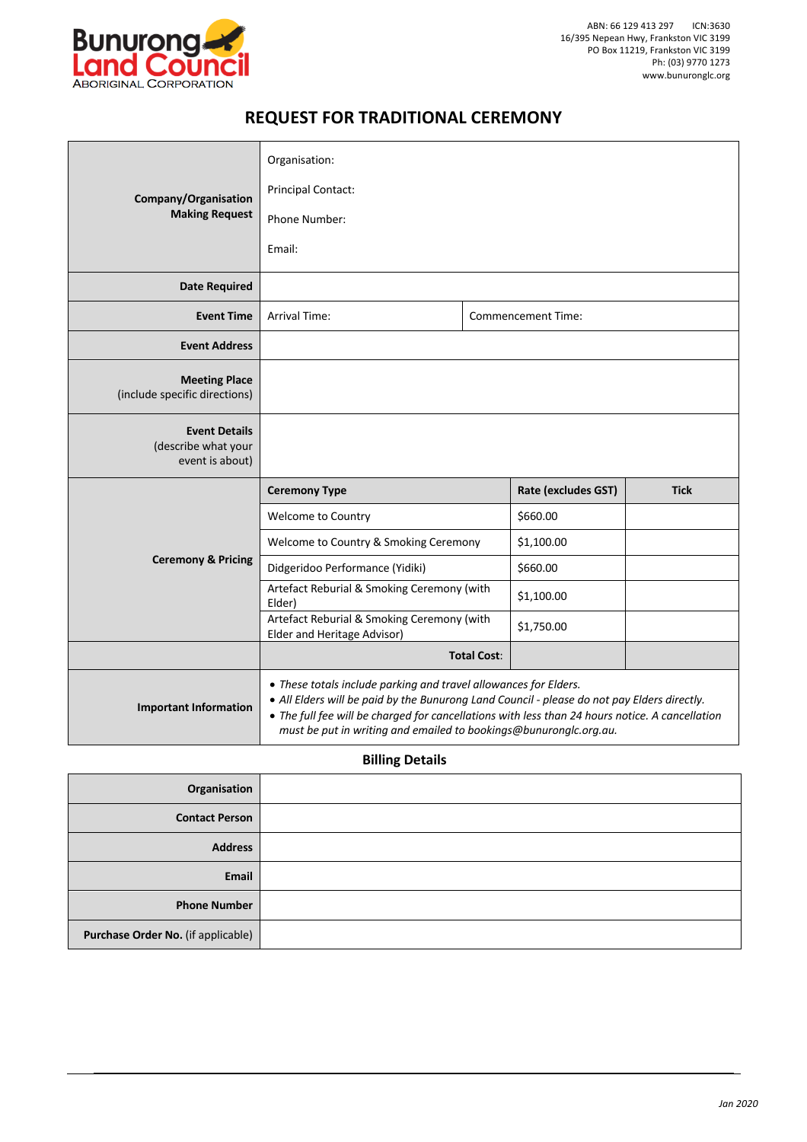

## **REQUEST FOR TRADITIONAL CEREMONY**

| Company/Organisation<br><b>Making Request</b>                  | Organisation:                                                                                                                                                                                                                                                                                                                           |                    |                           |             |  |
|----------------------------------------------------------------|-----------------------------------------------------------------------------------------------------------------------------------------------------------------------------------------------------------------------------------------------------------------------------------------------------------------------------------------|--------------------|---------------------------|-------------|--|
|                                                                | <b>Principal Contact:</b>                                                                                                                                                                                                                                                                                                               |                    |                           |             |  |
|                                                                | Phone Number:                                                                                                                                                                                                                                                                                                                           |                    |                           |             |  |
|                                                                | Email:                                                                                                                                                                                                                                                                                                                                  |                    |                           |             |  |
| <b>Date Required</b>                                           |                                                                                                                                                                                                                                                                                                                                         |                    |                           |             |  |
| <b>Event Time</b>                                              | <b>Arrival Time:</b>                                                                                                                                                                                                                                                                                                                    |                    | <b>Commencement Time:</b> |             |  |
| <b>Event Address</b>                                           |                                                                                                                                                                                                                                                                                                                                         |                    |                           |             |  |
| <b>Meeting Place</b><br>(include specific directions)          |                                                                                                                                                                                                                                                                                                                                         |                    |                           |             |  |
| <b>Event Details</b><br>(describe what your<br>event is about) |                                                                                                                                                                                                                                                                                                                                         |                    |                           |             |  |
| <b>Ceremony &amp; Pricing</b>                                  | <b>Ceremony Type</b>                                                                                                                                                                                                                                                                                                                    |                    | Rate (excludes GST)       | <b>Tick</b> |  |
|                                                                | Welcome to Country                                                                                                                                                                                                                                                                                                                      |                    | \$660.00                  |             |  |
|                                                                | Welcome to Country & Smoking Ceremony                                                                                                                                                                                                                                                                                                   |                    | \$1,100.00                |             |  |
|                                                                | Didgeridoo Performance (Yidiki)                                                                                                                                                                                                                                                                                                         |                    | \$660.00                  |             |  |
|                                                                | Artefact Reburial & Smoking Ceremony (with<br>Elder)                                                                                                                                                                                                                                                                                    |                    | \$1,100.00                |             |  |
|                                                                | Artefact Reburial & Smoking Ceremony (with<br>Elder and Heritage Advisor)                                                                                                                                                                                                                                                               |                    | \$1,750.00                |             |  |
|                                                                |                                                                                                                                                                                                                                                                                                                                         | <b>Total Cost:</b> |                           |             |  |
| <b>Important Information</b>                                   | • These totals include parking and travel allowances for Elders.<br>• All Elders will be paid by the Bunurong Land Council - please do not pay Elders directly.<br>• The full fee will be charged for cancellations with less than 24 hours notice. A cancellation<br>must be put in writing and emailed to bookings@bunuronglc.org.au. |                    |                           |             |  |

## **Billing Details**

| Organisation                       |  |
|------------------------------------|--|
| <b>Contact Person</b>              |  |
| <b>Address</b>                     |  |
| Email                              |  |
| <b>Phone Number</b>                |  |
| Purchase Order No. (if applicable) |  |